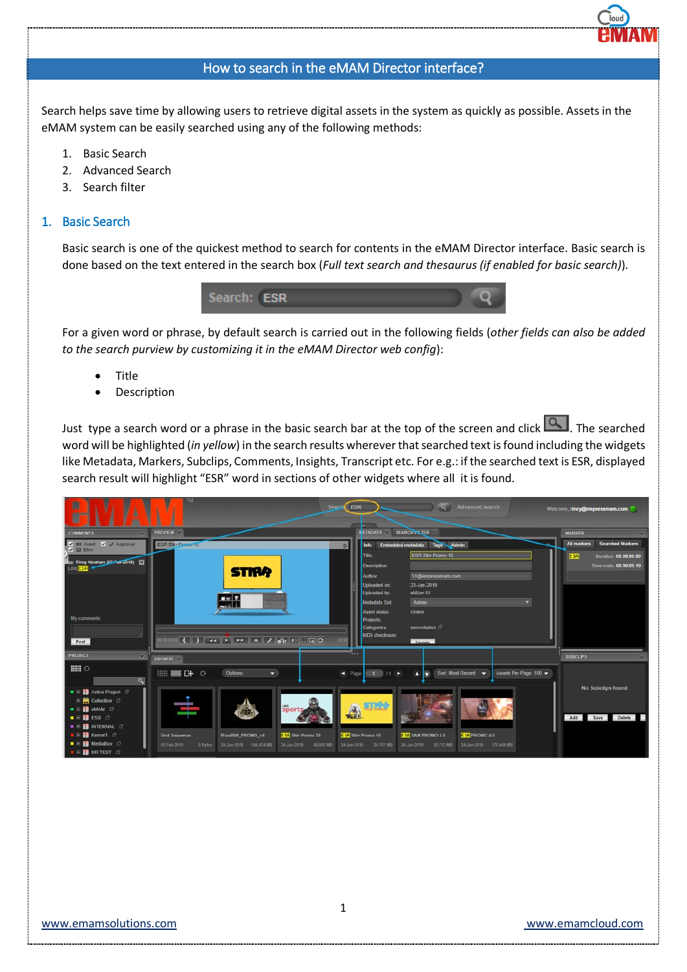# How to search in the eMAM Director interface?

Search helps save time by allowing users to retrieve digital assets in the system as quickly as possible. Assets in the eMAM system can be easily searched using any of the following methods:

- 1. Basic Search
- 2. Advanced Search
- 3. Search filter

## 1. Basic Search

Basic search is one of the quickest method to search for contents in the eMAM Director interface. Basic search is done based on the text entered in the search box (*Full text search and thesaurus (if enabled for basic search)*).



For a given word or phrase, by default search is carried out in the following fields (*other fields can also be added to the search purview by customizing it in the eMAM Director web config*):

- Title
- **Description**

Just type a search word or a phrase in the basic search bar at the top of the screen and click **. The searched** word will be highlighted (*in yellow*) in the search results whereverthat searched text is found including the widgets like Metadata, Markers, Subclips, Comments, Insights, Transcript etc. For e.g.: if the searched text is ESR, displayed search result will highlight "ESR" word in sections of other widgets where all it is found.

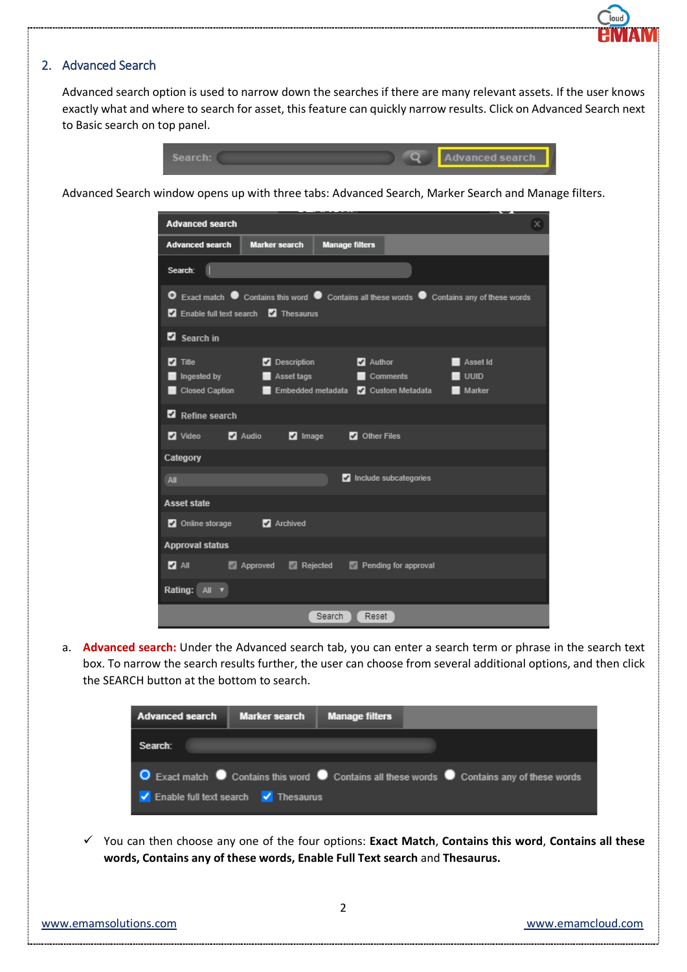#### 2. Advanced Search

Advanced search option is used to narrow down the searches if there are many relevant assets. If the user knows exactly what and where to search for asset, this feature can quickly narrow results. Click on Advanced Search next to Basic search on top panel.



Advanced Search window opens up with three tabs: Advanced Search, Marker Search and Manage filters.

| <b>Advanced search</b>                                  |                                                     |                                                                      |                                    |                                                                                           | x |
|---------------------------------------------------------|-----------------------------------------------------|----------------------------------------------------------------------|------------------------------------|-------------------------------------------------------------------------------------------|---|
| <b>Advanced search</b>                                  | <b>Marker search</b>                                | <b>Manage filters</b>                                                |                                    |                                                                                           |   |
| Search:<br>1                                            |                                                     |                                                                      |                                    |                                                                                           |   |
| o                                                       | <b>Z</b> Enable full text search <b>Z</b> Thesaurus |                                                                      |                                    | Exact match ● Contains this word ● Contains all these words ● Contains any of these words |   |
| Search in                                               |                                                     |                                                                      |                                    |                                                                                           |   |
| Title<br>✔<br>Ingested by the control<br>Closed Caption | <b>Description</b><br>Asset tags<br>−<br>−          | <b>Service Service</b><br>Embedded metadata <b>Z</b> Custom Metadata | Author<br>Comments <b>Comments</b> | Asset Id<br><b>UUID</b><br>Marker<br>□                                                    |   |
| Refine search                                           |                                                     |                                                                      |                                    |                                                                                           |   |
| Video <b>Marco</b>                                      | <b>Z</b> Audio<br><b>Z</b> Image                    | <b>2</b> Other Files                                                 |                                    |                                                                                           |   |
| Category                                                |                                                     |                                                                      |                                    |                                                                                           |   |
| All                                                     |                                                     |                                                                      | Include subcategories              |                                                                                           |   |
| <b>Asset state</b>                                      |                                                     |                                                                      |                                    |                                                                                           |   |
| Online storage                                          | Archived                                            |                                                                      |                                    |                                                                                           |   |
| <b>Approval status</b>                                  |                                                     |                                                                      |                                    |                                                                                           |   |
| <b>Z</b> All                                            | Approved                                            | $\blacksquare$ Rejected                                              | Pending for approval               |                                                                                           |   |
| Rating: $All$ <b>v</b>                                  |                                                     |                                                                      |                                    |                                                                                           |   |
|                                                         |                                                     | Search                                                               | Reset                              |                                                                                           |   |

a. **Advanced search:** Under the Advanced search tab, you can enter a search term or phrase in the search text box. To narrow the search results further, the user can choose from several additional options, and then click the SEARCH button at the bottom to search.

| <b>Advanced search</b>                                                      | Marker search Manage filters |                                                                                             |
|-----------------------------------------------------------------------------|------------------------------|---------------------------------------------------------------------------------------------|
| Search:                                                                     |                              |                                                                                             |
|                                                                             |                              | ◯ Exact match ◯ Contains this word ◯ Contains all these words ◯ Contains any of these words |
| $\sqrt{\phantom{a}}$ Enable full text search $\sqrt{\phantom{a}}$ Thesaurus |                              |                                                                                             |

 You can then choose any one of the four options: **Exact Match**, **Contains this word**, **Contains all these words, Contains any of these words, Enable Full Text search** and **Thesaurus.**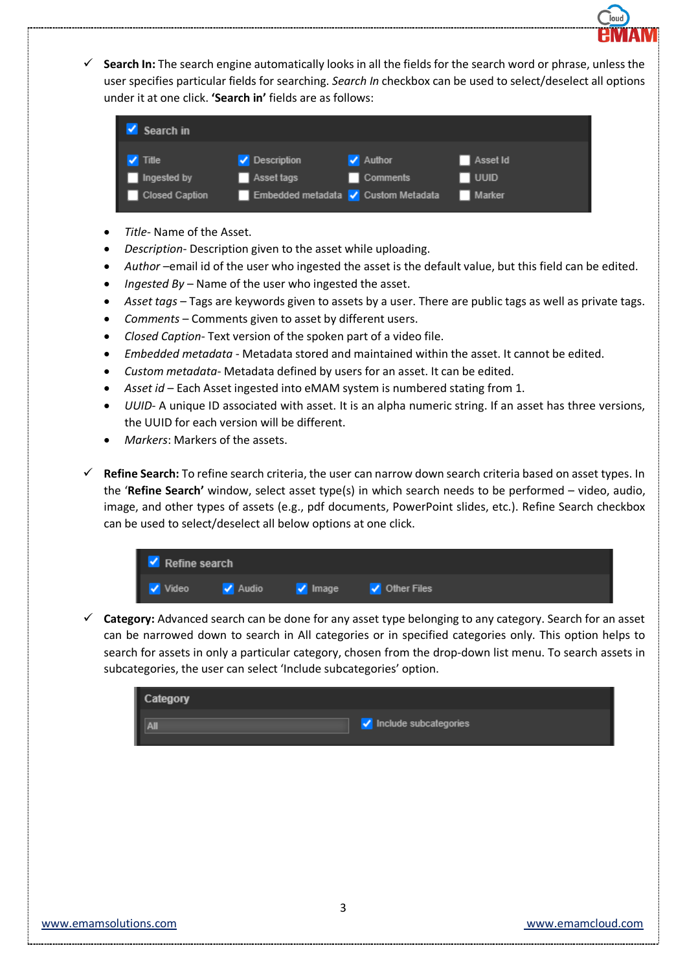

 **Search In:** The search engine automatically looks in all the fields for the search word or phrase, unless the user specifies particular fields for searching. *Search In* checkbox can be used to select/deselect all options under it at one click. **'Search in'** fields are as follows:



- *Title* Name of the Asset.
- *Description* Description given to the asset while uploading.
- *Author* –email id of the user who ingested the asset is the default value, but this field can be edited.
- *Ingested By* Name of the user who ingested the asset.
- *Asset tags* Tags are keywords given to assets by a user. There are public tags as well as private tags.
- *Comments* Comments given to asset by different users.
- *Closed Caption* Text version of the spoken part of a video file.
- *Embedded metadata* Metadata stored and maintained within the asset. It cannot be edited.
- *Custom metadata* Metadata defined by users for an asset. It can be edited.
- *Asset id* Each Asset ingested into eMAM system is numbered stating from 1.
- *UUID* A unique ID associated with asset. It is an alpha numeric string. If an asset has three versions, the UUID for each version will be different.
- *Markers*: Markers of the assets.
- **Refine Search:** To refine search criteria, the user can narrow down search criteria based on asset types. In the '**Refine Search'** window, select asset type(s) in which search needs to be performed – video, audio, image, and other types of assets (e.g., pdf documents, PowerPoint slides, etc.). Refine Search checkbox can be used to select/deselect all below options at one click.



 **Category:** Advanced search can be done for any asset type belonging to any category. Search for an asset can be narrowed down to search in All categories or in specified categories only. This option helps to search for assets in only a particular category, chosen from the drop-down list menu. To search assets in subcategories, the user can select 'Include subcategories' option.

| Category |                       |
|----------|-----------------------|
| Ш        | Include subcategories |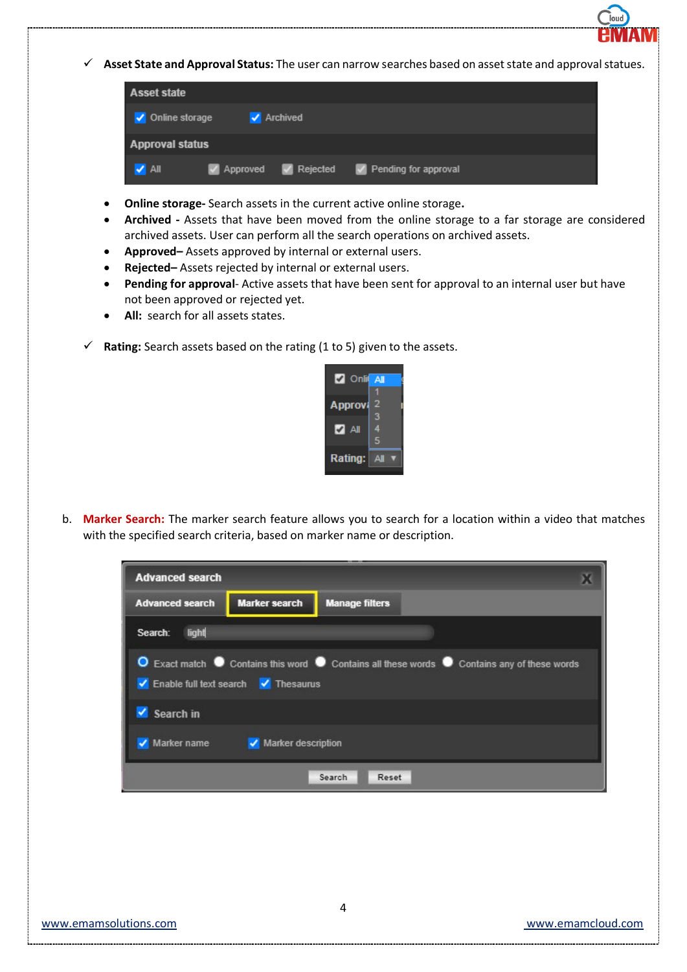

| <b>Asset state</b>        |          |                                              |  |
|---------------------------|----------|----------------------------------------------|--|
| √ Online storage          | Archived |                                              |  |
| <b>Approval status</b>    |          |                                              |  |
| $\blacktriangleright$ All |          | V Approved V Rejected V Pending for approval |  |

- **Online storage-** Search assets in the current active online storage**.**
- **Archived -** Assets that have been moved from the online storage to a far storage are considered archived assets. User can perform all the search operations on archived assets.
- **Approved–** Assets approved by internal or external users.
- **Rejected–** Assets rejected by internal or external users.
- **Pending for approval** Active assets that have been sent for approval to an internal user but have not been approved or rejected yet.
- **All:** search for all assets states.
- **Rating:** Search assets based on the rating (1 to 5) given to the assets.



b. **Marker Search:** The marker search feature allows you to search for a location within a video that matches with the specified search criteria, based on marker name or description.

| <b>Advanced search</b>            |                                                                                                                                    |                       |  |  |  |  |  |  |
|-----------------------------------|------------------------------------------------------------------------------------------------------------------------------------|-----------------------|--|--|--|--|--|--|
| <b>Advanced search</b>            | <b>Marker search</b>                                                                                                               | <b>Manage filters</b> |  |  |  |  |  |  |
| light<br>Search:                  |                                                                                                                                    |                       |  |  |  |  |  |  |
|                                   | O Exact match ● Contains this word ● Contains all these words ● Contains any of these words<br>Enable full text search V Thesaurus |                       |  |  |  |  |  |  |
| Search in                         |                                                                                                                                    |                       |  |  |  |  |  |  |
| Marker name<br>Marker description |                                                                                                                                    |                       |  |  |  |  |  |  |
| Search<br>Reset                   |                                                                                                                                    |                       |  |  |  |  |  |  |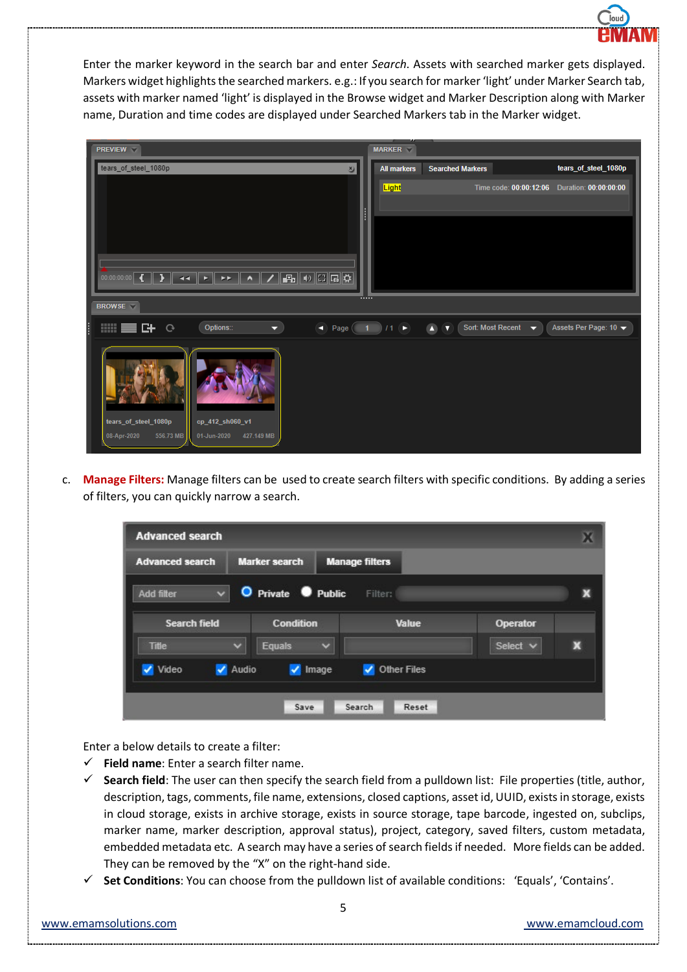

Enter the marker keyword in the search bar and enter *Search*. Assets with searched marker gets displayed. Markers widget highlights the searched markers. e.g.: If you search for marker 'light' under Marker Search tab, assets with marker named 'light' is displayed in the Browse widget and Marker Description along with Marker name, Duration and time codes are displayed under Searched Markers tab in the Marker widget.

|   | <b>PREVIEW</b>                                                                                                                               |   | <b>MARKER</b>                 |                         |                                 |                                                 |
|---|----------------------------------------------------------------------------------------------------------------------------------------------|---|-------------------------------|-------------------------|---------------------------------|-------------------------------------------------|
|   | tears_of_steel_1080p<br>$\sum$                                                                                                               |   | <b>All markers</b>            | <b>Searched Markers</b> |                                 | tears_of_steel_1080p                            |
|   |                                                                                                                                              | H | Light                         |                         |                                 | Time code: 00:00:12:06    Duration: 00:00:00:00 |
|   | $\boxed{\frac{1}{\left \mathbf{F_{B}}\right }} \oplus \boxed{\text{CI}\left \mathbf{G}\right } \end{array}$<br>00:00:00:00<br>A<br><b>EE</b> |   |                               |                         |                                 |                                                 |
|   |                                                                                                                                              |   |                               |                         |                                 |                                                 |
|   | <b>BROWSE</b>                                                                                                                                |   |                               |                         |                                 |                                                 |
| Ē | <b>Hill</b><br>Options::<br>三叶<br>п<br>$\mathbf{G}$<br>Page (<br>≂                                                                           |   | $1)$ /1 $\blacktriangleright$ | $\bullet$               | Sort: Most Recent $\rightarrow$ | Assets Per Page: 10 $\blacktriangledown$        |
|   | tears_of_steel_1080p<br>cp_412_sh060_v1<br>08-Apr-2020<br>556.73 MB<br>01-Jun-2020<br>427.149 MB                                             |   |                               |                         |                                 |                                                 |

c. **Manage Filters:** Manage filters can be used to create search filters with specific conditions. By adding a series of filters, you can quickly narrow a search.

| <b>Advanced search</b>         |                               |                       |          |   |
|--------------------------------|-------------------------------|-----------------------|----------|---|
| <b>Advanced search</b>         | <b>Marker search</b>          | <b>Manage filters</b> |          |   |
| $\ddot{}$<br><b>Add filter</b> | O Private <b>O</b> Public     | Filter:               |          | х |
| <b>Search field</b>            | <b>Condition</b>              | <b>Value</b>          | Operator |   |
| <b>Title</b>                   | $\checkmark$<br><b>Equals</b> | $\ddot{}$             | Select v | × |
| Video                          | ✔ Audio<br>$\sqrt{ }$ Image   | <b>Other Files</b>    |          |   |
|                                |                               |                       |          |   |
|                                | Save                          | Search<br>Reset       |          |   |

Enter a below details to create a filter:

- **Field name**: Enter a search filter name.
- **Search field**: The user can then specify the search field from a pulldown list: File properties (title, author, description, tags, comments, file name, extensions, closed captions, asset id, UUID, exists in storage, exists in cloud storage, exists in archive storage, exists in source storage, tape barcode, ingested on, subclips, marker name, marker description, approval status), project, category, saved filters, custom metadata, embedded metadata etc. A search may have a series of search fields if needed. More fields can be added. They can be removed by the "X" on the right-hand side.
- **Set Conditions**: You can choose from the pulldown list of available conditions: 'Equals', 'Contains'.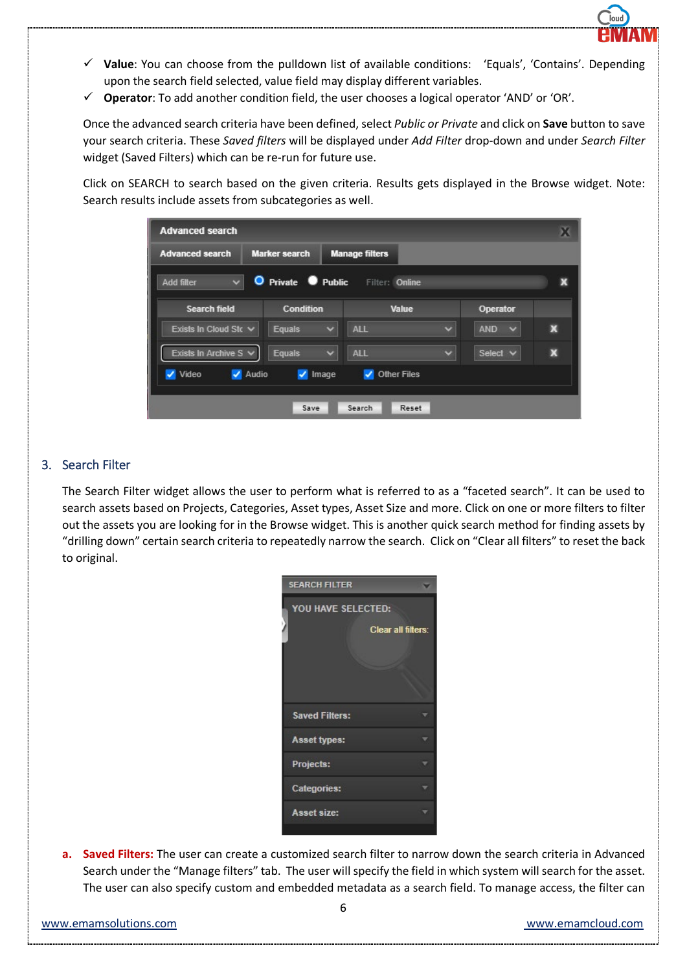

- **Value**: You can choose from the pulldown list of available conditions: 'Equals', 'Contains'. Depending upon the search field selected, value field may display different variables.
- **Operator**: To add another condition field, the user chooses a logical operator 'AND' or 'OR'.

Once the advanced search criteria have been defined, select *Public or Private* and click on **Save** button to save your search criteria. These *Saved filters* will be displayed under *Add Filter* drop-down and under *Search Filter* widget (Saved Filters) which can be re-run for future use.

Click on SEARCH to search based on the given criteria. Results gets displayed in the Browse widget. Note: Search results include assets from subcategories as well.

| <b>Advanced search</b>            |                                   |                                                |                      |                         | х                         |
|-----------------------------------|-----------------------------------|------------------------------------------------|----------------------|-------------------------|---------------------------|
| <b>Advanced search</b>            | <b>Marker search</b>              | <b>Manage filters</b>                          |                      |                         |                           |
| $\checkmark$<br><b>Add filter</b> | O Private Public                  | Filter: Online                                 |                      |                         | x                         |
| <b>Search field</b>               | <b>Condition</b>                  | <b>Value</b>                                   |                      | Operator                |                           |
| Exists In Cloud Sto V             | <b>Equals</b><br>$\checkmark$     | <b>ALL</b>                                     | $\ddot{\phantom{0}}$ | <b>AND</b><br>$\ddot{}$ | $\boldsymbol{\mathsf{x}}$ |
| Exists In Archive $S \vee$        | $\checkmark$<br><b>Equals</b>     | <b>ALL</b>                                     | $\ddot{\phantom{0}}$ | Select v                | $\boldsymbol{\mathsf{X}}$ |
| Video<br>✔ Audio                  | $\overline{\mathcal{L}}$<br>Image | <b>Other Files</b><br>$\overline{\mathcal{L}}$ |                      |                         |                           |
|                                   |                                   |                                                |                      |                         |                           |
|                                   | Save                              | <b>Search</b><br>Reset                         |                      |                         |                           |

# 3. Search Filter

The Search Filter widget allows the user to perform what is referred to as a "faceted search". It can be used to search assets based on Projects, Categories, Asset types, Asset Size and more. Click on one or more filters to filter out the assets you are looking for in the Browse widget. This is another quick search method for finding assets by "drilling down" certain search criteria to repeatedly narrow the search. Click on "Clear all filters" to reset the back to original.

| <b>SEARCH FILTER</b>  |  |
|-----------------------|--|
| YOU HAVE SELECTED:    |  |
| Clear all filters:    |  |
|                       |  |
|                       |  |
|                       |  |
| <b>Saved Filters:</b> |  |
| <b>Asset types:</b>   |  |
| Projects:             |  |
| <b>Categories:</b>    |  |
| <b>Asset size:</b>    |  |
|                       |  |

**a. Saved Filters:** The user can create a customized search filter to narrow down the search criteria in Advanced Search under the "Manage filters" tab. The user will specify the field in which system will search for the asset. The user can also specify custom and embedded metadata as a search field. To manage access, the filter can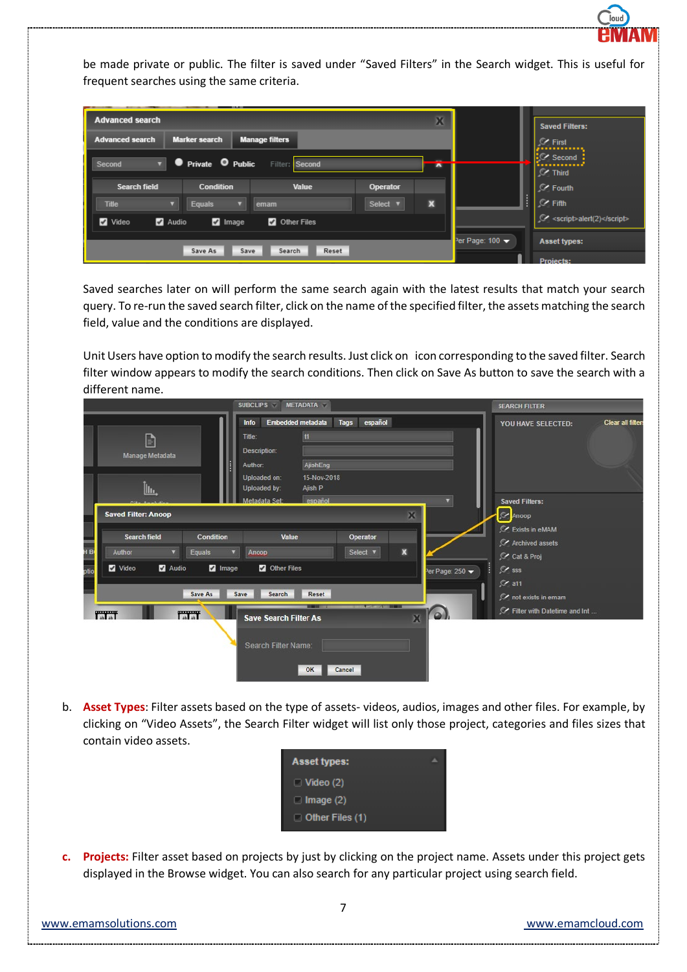

be made private or public. The filter is saved under "Saved Filters" in the Search widget. This is useful for frequent searches using the same criteria.

| <b>Advanced search</b><br>X                                                              |                                                          |       |                 |   |                                            | <b>Saved Filters:</b>               |
|------------------------------------------------------------------------------------------|----------------------------------------------------------|-------|-----------------|---|--------------------------------------------|-------------------------------------|
| <b>Advanced search</b><br><b>Marker search</b><br><b>Manage filters</b>                  |                                                          |       |                 |   |                                            | $\mathcal{C}$ First<br>,,,,,,,,,,,, |
| <b>O</b> Private <b>O</b> Public<br>Filter: Second<br>$\overline{\phantom{a}}$<br>Second |                                                          |       |                 |   | <b>C</b> Second<br><br>$\mathcal{C}$ Third |                                     |
| <b>Search field</b>                                                                      | <b>Condition</b>                                         | Value | <b>Operator</b> |   |                                            | $C$ Fourth                          |
| <b>Title</b>                                                                             | <b>Equals</b>                                            | emam  | Select <b>v</b> | x |                                            | $\ \ _{\infty}$ Fifth               |
| Video                                                                                    | <b>Z</b> Other Files<br><b>Z</b> Audio<br><b>Z</b> Image |       |                 |   |                                            |                                     |
| Reset<br>Save As<br>Save<br>Search                                                       |                                                          |       |                 |   | Per Page: 100 -                            | <b>Asset types:</b>                 |
|                                                                                          |                                                          |       |                 |   |                                            | <b>Projects:</b>                    |

Saved searches later on will perform the same search again with the latest results that match your search query. To re-run the saved search filter, click on the name of the specified filter, the assets matching the search field, value and the conditions are displayed.

Unit Users have option to modify the search results. Just click on icon corresponding to the saved filter. Search filter window appears to modify the search conditions. Then click on Save As button to save the search with a different name.

|                        |                                               |                                          | <b>SUBCLIPS</b>                                                                                | <b>METADATA</b>                                     |                 |                           |                  | <b>SEARCH FILTER</b>                                                 |  |
|------------------------|-----------------------------------------------|------------------------------------------|------------------------------------------------------------------------------------------------|-----------------------------------------------------|-----------------|---------------------------|------------------|----------------------------------------------------------------------|--|
|                        | G<br>Manage Metadata<br><u>հեւ</u>            |                                          | Embedded metadata<br>Info<br>Title:<br>Description:<br>Author:<br>Uploaded on:<br>Uploaded by: | <sub>11</sub><br>AjishEng<br>15-Nov-2018<br>Ajish P | español<br>Tags |                           |                  | <b>Clear all filters</b><br>YOU HAVE SELECTED:                       |  |
|                        | <b>Saved Filter: Anoop</b>                    |                                          | Metadata Set:                                                                                  | español                                             |                 | $\mathbf x$               | o.               | <b>Saved Filters:</b><br>C Anoop<br>C Exists in eMAM                 |  |
|                        | <b>Search field</b><br>$\blacktriangledown$   | <b>Condition</b><br>$\blacktriangledown$ | Value                                                                                          |                                                     | Operator        | $\boldsymbol{\mathsf{x}}$ |                  | C Archived assets                                                    |  |
| H <sub>B</sub><br>otio | Equals<br>Author<br>Audio<br>Video<br>Save As | <b>2</b> Image<br>Save                   | Ancop<br>Other Files<br>Search                                                                 | Reset                                               | Select <b>v</b> |                           | er Page: $250 -$ | C Cat & Proj<br>$\mathcal{C}$ sss<br>$C$ a11<br>C not exists in emam |  |
|                        | <b>TalaT</b><br>TaTaT                         |                                          | <b>Save Search Filter As</b><br>Search Filter Name:                                            | OK                                                  | Cancel          | $\mathbf{X}$              | $\omega$         | Filter with Datetime and Int                                         |  |

b. **Asset Types**: Filter assets based on the type of assets- videos, audios, images and other files. For example, by clicking on "Video Assets", the Search Filter widget will list only those project, categories and files sizes that contain video assets.



**c. Projects:** Filter asset based on projects by just by clicking on the project name. Assets under this project gets displayed in the Browse widget. You can also search for any particular project using search field.